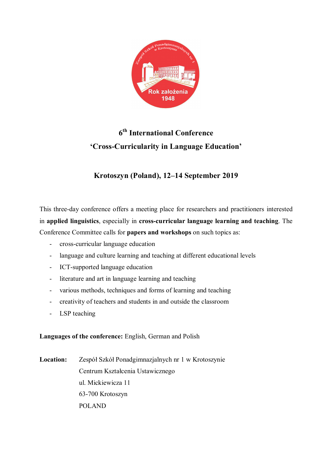

# **6 th International Conference 'Cross-Curricularity in Language Education'**

# **Krotoszyn (Poland), 12–14 September 2019**

This three-day conference offers a meeting place for researchers and practitioners interested in **applied linguistics**, especially in **cross-curricular language learning and teaching**. The Conference Committee calls for **papers and workshops** on such topics as:

- cross-curricular language education
- language and culture learning and teaching at different educational levels
- ICT-supported language education
- literature and art in language learning and teaching
- various methods, techniques and forms of learning and teaching
- creativity of teachers and students in and outside the classroom
- LSP teaching

**Languages of the conference:** English, German and Polish

**Location:** Zespół Szkół Ponadgimnazjalnych nr 1 w Krotoszynie Centrum Kształcenia Ustawicznego ul. Mickiewicza 11 63-700 Krotoszyn POLAND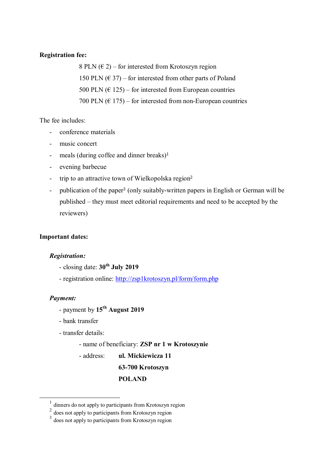#### **Registration fee:**

8 PLN  $(\epsilon 2)$  – for interested from Krotoszyn region 150 PLN  $(\text{\textsterling} 37)$  – for interested from other parts of Poland 500 PLN  $(6\ 125)$  – for interested from European countries 700 PLN  $(\text{\textsterling} 175)$  – for interested from non-European countries

The fee includes:

- conference materials
- music concert
- meals (during coffee and dinner breaks)<sup>1</sup>
- evening barbecue
- trip to an attractive town of Wielkopolska region<sup>2</sup>
- publication of the paper<sup>3</sup> (only suitably-written papers in English or German will be published – they must meet editorial requirements and need to be accepted by the reviewers)

#### **Important dates:**

#### *Registration:*

- closing date: **30th July 2019**
- registration online: http://zsp1krotoszyn.pl/form/form.php

#### *Payment:*

 $\overline{a}$ 

- payment by **15th August 2019**
- bank transfer
- transfer details:
	- name of beneficiary: **ZSP nr 1 w Krotoszynie**
	- address: **ul. Mickiewicza 11**

#### **63-700 Krotoszyn**

#### **POLAND**

<sup>&</sup>lt;sup>1</sup> dinners do not apply to participants from Krotoszyn region

 $2$  does not apply to participants from Krotoszyn region

<sup>&</sup>lt;sup>3</sup> does not apply to participants from Krotoszyn region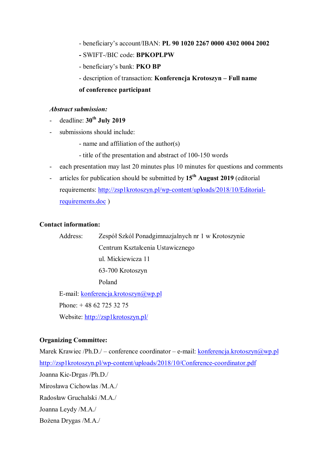- beneficiary's account/IBAN: **PL 90 1020 2267 0000 4302 0004 2002**
- **-** SWIFT-/BIC code: **BPKOPLPW**
- beneficiary's bank: **PKO BP**
- description of transaction: **Konferencja Krotoszyn – Full name**
- **of conference participant**

### *Abstract submission:*

- deadline: **30th July 2019**
- submissions should include:
	- name and affiliation of the author(s)
	- title of the presentation and abstract of 100-150 words
- each presentation may last 20 minutes plus 10 minutes for questions and comments
- articles for publication should be submitted by **15th August 2019** (editorial requirements: http://zsp1krotoszyn.pl/wp-content/uploads/2018/10/Editorialrequirements.doc )

#### **Contact information:**

Address: Zespół Szkól Ponadgimnazjalnych nr 1 w Krotoszynie Centrum Kształcenia Ustawicznego ul. Mickiewicza 11 63-700 Krotoszyn Poland E-mail: konferencja.krotoszyn@wp.pl

Phone: + 48 62 725 32 75 Website: http://zsp1krotoszyn.pl/

# **Organizing Committee:**

Marek Krawiec /Ph.D./ – conference coordinator – e-mail: konferencja.krotoszyn@wp.pl http://zsp1krotoszyn.pl/wp-content/uploads/2018/10/Conference-coordinator.pdf Joanna Kic-Drgas /Ph.D./ Mirosława Cichowlas /M.A./ Radosław Gruchalski /M.A./ Joanna Leydy /M.A./ Bożena Drygas /M.A./